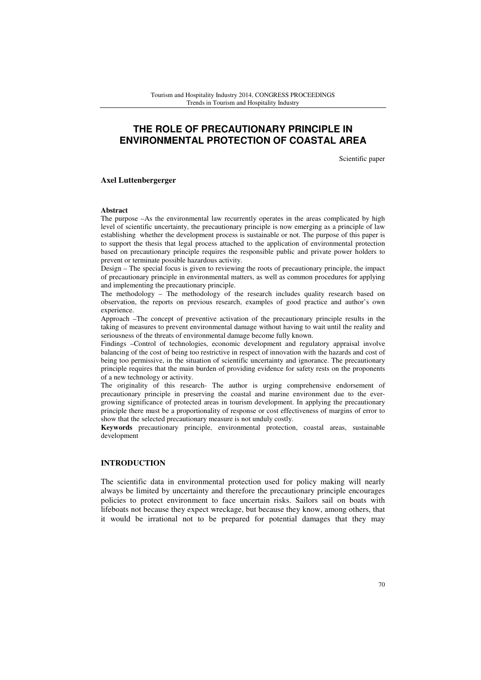# **THE ROLE OF PRECAUTIONARY PRINCIPLE IN ENVIRONMENTAL PROTECTION OF COASTAL AREA**

Scientific paper

**Axel Luttenbergerger** 

#### **Abstract**

The purpose –As the environmental law recurrently operates in the areas complicated by high level of scientific uncertainty, the precautionary principle is now emerging as a principle of law establishing whether the development process is sustainable or not. The purpose of this paper is to support the thesis that legal process attached to the application of environmental protection based on precautionary principle requires the responsible public and private power holders to prevent or terminate possible hazardous activity.

Design – The special focus is given to reviewing the roots of precautionary principle, the impact of precautionary principle in environmental matters, as well as common procedures for applying and implementing the precautionary principle.

The methodology – The methodology of the research includes quality research based on observation, the reports on previous research, examples of good practice and author's own experience.

Approach –The concept of preventive activation of the precautionary principle results in the taking of measures to prevent environmental damage without having to wait until the reality and seriousness of the threats of environmental damage become fully known.

Findings –Control of technologies, economic development and regulatory appraisal involve balancing of the cost of being too restrictive in respect of innovation with the hazards and cost of being too permissive, in the situation of scientific uncertainty and ignorance. The precautionary principle requires that the main burden of providing evidence for safety rests on the proponents of a new technology or activity.

The originality of this research- The author is urging comprehensive endorsement of precautionary principle in preserving the coastal and marine environment due to the evergrowing significance of protected areas in tourism development. In applying the precautionary principle there must be a proportionality of response or cost effectiveness of margins of error to show that the selected precautionary measure is not unduly costly.

**Keywords** precautionary principle, environmental protection, coastal areas, sustainable development

# **INTRODUCTION**

The scientific data in environmental protection used for policy making will nearly always be limited by uncertainty and therefore the precautionary principle encourages policies to protect environment to face uncertain risks. Sailors sail on boats with lifeboats not because they expect wreckage, but because they know, among others, that it would be irrational not to be prepared for potential damages that they may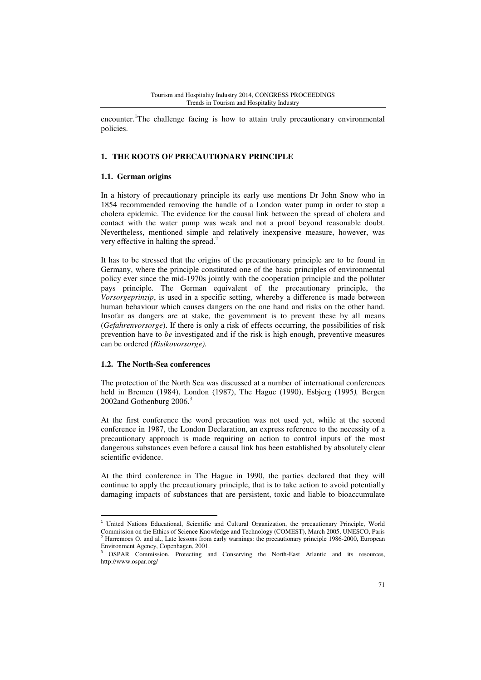encounter.<sup>1</sup>The challenge facing is how to attain truly precautionary environmental policies.

#### **1. THE ROOTS OF PRECAUTIONARY PRINCIPLE**

#### **1.1. German origins**

In a history of precautionary principle its early use mentions Dr John Snow who in 1854 recommended removing the handle of a London water pump in order to stop a cholera epidemic. The evidence for the causal link between the spread of cholera and contact with the water pump was weak and not a proof beyond reasonable doubt. Nevertheless, mentioned simple and relatively inexpensive measure, however, was very effective in halting the spread.<sup>2</sup>

It has to be stressed that the origins of the precautionary principle are to be found in Germany, where the principle constituted one of the basic principles of environmental policy ever since the mid-1970s jointly with the cooperation principle and the polluter pays principle. The German equivalent of the precautionary principle, the *Vorsorgeprinzip*, is used in a specific setting, whereby a difference is made between human behaviour which causes dangers on the one hand and risks on the other hand. Insofar as dangers are at stake, the government is to prevent these by all means (*Gefahrenvorsorge*). If there is only a risk of effects occurring, the possibilities of risk prevention have to *be* investigated and if the risk is high enough, preventive measures can be ordered *(Risikovorsorge).* 

#### **1.2. The North-Sea conferences**

l

The protection of the North Sea was discussed at a number of international conferences held in Bremen (1984), London (1987), The Hague (1990), Esbjerg (1995*),* Bergen 2002and Gothenburg 2006.<sup>3</sup>

At the first conference the word precaution was not used yet, while at the second conference in 1987, the London Declaration, an express reference to the necessity of a precautionary approach is made requiring an action to control inputs of the most dangerous substances even before a causal link has been established by absolutely clear scientific evidence.

At the third conference in The Hague in 1990, the parties declared that they will continue to apply the precautionary principle, that is to take action to avoid potentially damaging impacts of substances that are persistent, toxic and liable to bioaccumulate

<sup>&</sup>lt;sup>1</sup> United Nations Educational, Scientific and Cultural Organization, the precautionary Principle, World Commission on the Ethics of Science Knowledge and Technology (COMEST), March 2005, UNESCO, Paris 2 Harremoes O. and al., Late lessons from early warnings: the precautionary principle 1986-2000, European Environment Agency, Copenhagen, 2001.

<sup>3</sup> OSPAR Commission, Protecting and Conserving the North-East Atlantic and its resources, http://www.ospar.org/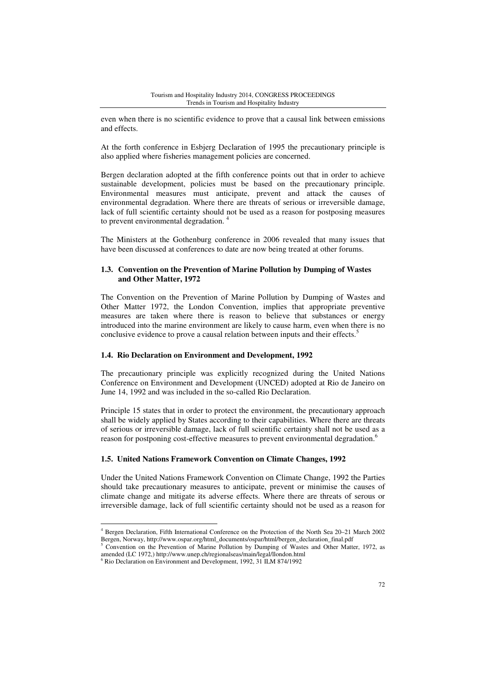even when there is no scientific evidence to prove that a causal link between emissions and effects.

At the forth conference in Esbjerg Declaration of 1995 the precautionary principle is also applied where fisheries management policies are concerned.

Bergen declaration adopted at the fifth conference points out that in order to achieve sustainable development, policies must be based on the precautionary principle. Environmental measures must anticipate, prevent and attack the causes of environmental degradation. Where there are threats of serious or irreversible damage, lack of full scientific certainty should not be used as a reason for postposing measures to prevent environmental degradation.<sup>4</sup>

The Ministers at the Gothenburg conference in 2006 revealed that many issues that have been discussed at conferences to date are now being treated at other forums.

### **1.3. Convention on the Prevention of Marine Pollution by Dumping of Wastes and Other Matter, 1972**

The Convention on the Prevention of Marine Pollution by Dumping of Wastes and Other Matter 1972, the London Convention, implies that appropriate preventive measures are taken where there is reason to believe that substances or energy introduced into the marine environment are likely to cause harm, even when there is no conclusive evidence to prove a causal relation between inputs and their effects.<sup>5</sup>

#### **1.4. Rio Declaration on Environment and Development, 1992**

The precautionary principle was explicitly recognized during the United Nations Conference on Environment and Development (UNCED) adopted at Rio de Janeiro on June 14, 1992 and was included in the so-called Rio Declaration.

Principle 15 states that in order to protect the environment, the precautionary approach shall be widely applied by States according to their capabilities. Where there are threats of serious or irreversible damage, lack of full scientific certainty shall not be used as a reason for postponing cost-effective measures to prevent environmental degradation.<sup>6</sup>

#### **1.5. United Nations Framework Convention on Climate Changes, 1992**

Under the United Nations Framework Convention on Climate Change, 1992 the Parties should take precautionary measures to anticipate, prevent or minimise the causes of climate change and mitigate its adverse effects. Where there are threats of serous or irreversible damage, lack of full scientific certainty should not be used as a reason for

 $\overline{a}$ 

<sup>4</sup> Bergen Declaration, Fifth International Conference on the Protection of the North Sea 20–21 March 2002 Bergen, Norway, http://www.ospar.org/html\_documents/ospar/html/bergen\_declaration\_final.pdf

<sup>&</sup>lt;sup>5</sup> Convention on the Prevention of Marine Pollution by Dumping of Wastes and Other Matter, 1972, as amended (LC 1972,) http://www.unep.ch/regionalseas/main/legal/llondon.html

<sup>6</sup> Rio Declaration on Environment and Development, 1992, 31 ILM 874/1992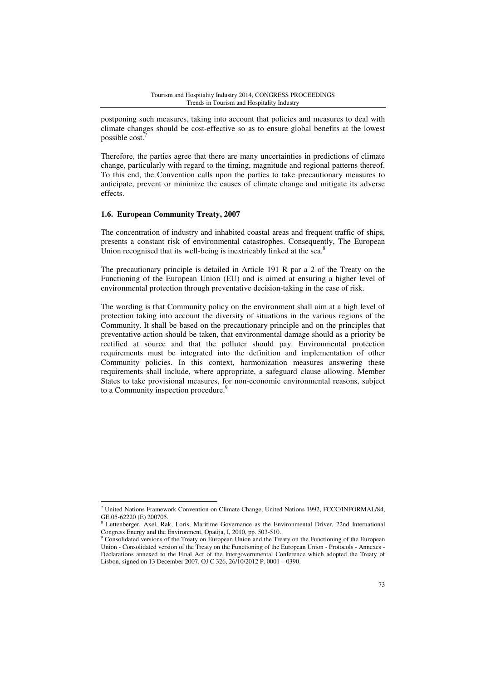postponing such measures, taking into account that policies and measures to deal with climate changes should be cost-effective so as to ensure global benefits at the lowest possible cost.

Therefore, the parties agree that there are many uncertainties in predictions of climate change, particularly with regard to the timing, magnitude and regional patterns thereof. To this end, the Convention calls upon the parties to take precautionary measures to anticipate, prevent or minimize the causes of climate change and mitigate its adverse effects.

#### **1.6. European Community Treaty, 2007**

l

The concentration of industry and inhabited coastal areas and frequent traffic of ships, presents a constant risk of environmental catastrophes. Consequently, The European Union recognised that its well-being is inextricably linked at the sea. $8$ 

The precautionary principle is detailed in Article 191 R par a 2 of the Treaty on the Functioning of the European Union (EU) and is aimed at ensuring a higher level of environmental protection through preventative decision-taking in the case of risk.

The wording is that Community policy on the environment shall aim at a high level of protection taking into account the diversity of situations in the various regions of the Community. It shall be based on the precautionary principle and on the principles that preventative action should be taken, that environmental damage should as a priority be rectified at source and that the polluter should pay. Environmental protection requirements must be integrated into the definition and implementation of other Community policies. In this context, harmonization measures answering these requirements shall include, where appropriate, a safeguard clause allowing. Member States to take provisional measures, for non-economic environmental reasons, subject to a Community inspection procedure.<sup>9</sup>

<sup>7</sup> United Nations Framework Convention on Climate Change, United Nations 1992, FCCC/INFORMAL/84, GE.05-62220 (E) 200705.

<sup>8</sup> Luttenberger, Axel, Rak, Loris, Maritime Governance as the Environmental Driver, 22nd International Congress Energy and the Environment, Opatija, I, 2010, pp. 503-510.

<sup>&</sup>lt;sup>9</sup> Consolidated versions of the Treaty on European Union and the Treaty on the Functioning of the European Union - Consolidated version of the Treaty on the Functioning of the European Union - Protocols - Annexes - Declarations annexed to the Final Act of the Intergovernmental Conference which adopted the Treaty of Lisbon, signed on 13 December 2007, OJ C 326, 26/10/2012 P. 0001 – 0390.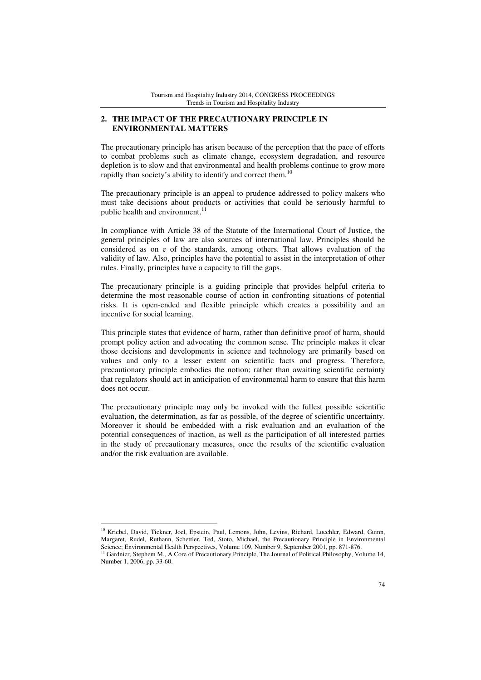## **2. THE IMPACT OF THE PRECAUTIONARY PRINCIPLE IN ENVIRONMENTAL MATTERS**

The precautionary principle has arisen because of the perception that the pace of efforts to combat problems such as climate change, ecosystem degradation, and resource depletion is to slow and that environmental and health problems continue to grow more rapidly than society's ability to identify and correct them.<sup>10</sup>

The precautionary principle is an appeal to prudence addressed to policy makers who must take decisions about products or activities that could be seriously harmful to public health and environment.<sup>11</sup>

In compliance with Article 38 of the Statute of the International Court of Justice, the general principles of law are also sources of international law. Principles should be considered as on e of the standards, among others. That allows evaluation of the validity of law. Also, principles have the potential to assist in the interpretation of other rules. Finally, principles have a capacity to fill the gaps.

The precautionary principle is a guiding principle that provides helpful criteria to determine the most reasonable course of action in confronting situations of potential risks. It is open-ended and flexible principle which creates a possibility and an incentive for social learning.

This principle states that evidence of harm, rather than definitive proof of harm, should prompt policy action and advocating the common sense. The principle makes it clear those decisions and developments in science and technology are primarily based on values and only to a lesser extent on scientific facts and progress. Therefore, precautionary principle embodies the notion; rather than awaiting scientific certainty that regulators should act in anticipation of environmental harm to ensure that this harm does not occur.

The precautionary principle may only be invoked with the fullest possible scientific evaluation, the determination, as far as possible, of the degree of scientific uncertainty. Moreover it should be embedded with a risk evaluation and an evaluation of the potential consequences of inaction, as well as the participation of all interested parties in the study of precautionary measures, once the results of the scientific evaluation and/or the risk evaluation are available.

<sup>10</sup> Kriebel, David, Tickner, Joel, Epstein, Paul, Lemons, John, Levins, Richard, Loechler, Edward, Guinn, Margaret, Rudel, Ruthann, Schettler, Ted, Stoto, Michael, the Precautionary Principle in Environmental Science; Environmental Health Perspectives, Volume 109, Number 9, September 2001, pp. 871-876.

 $\overline{a}$ 

<sup>&</sup>lt;sup>11</sup> Gardnier, Stephem M., A Core of Precautionary Principle, The Journal of Political Philosophy, Volume 14, Number 1, 2006, pp. 33-60.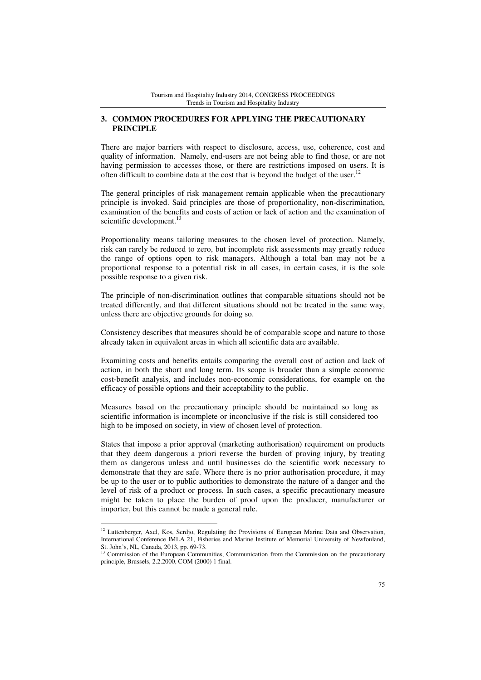### **3. COMMON PROCEDURES FOR APPLYING THE PRECAUTIONARY PRINCIPLE**

There are major barriers with respect to disclosure, access, use, coherence, cost and quality of information. Namely, end-users are not being able to find those, or are not having permission to accesses those, or there are restrictions imposed on users. It is often difficult to combine data at the cost that is beyond the budget of the user.<sup>12</sup>

The general principles of risk management remain applicable when the precautionary principle is invoked. Said principles are those of proportionality, non-discrimination, examination of the benefits and costs of action or lack of action and the examination of scientific development.<sup>13</sup>

Proportionality means tailoring measures to the chosen level of protection. Namely, risk can rarely be reduced to zero, but incomplete risk assessments may greatly reduce the range of options open to risk managers. Although a total ban may not be a proportional response to a potential risk in all cases, in certain cases, it is the sole possible response to a given risk.

The principle of non-discrimination outlines that comparable situations should not be treated differently, and that different situations should not be treated in the same way, unless there are objective grounds for doing so.

Consistency describes that measures should be of comparable scope and nature to those already taken in equivalent areas in which all scientific data are available.

Examining costs and benefits entails comparing the overall cost of action and lack of action, in both the short and long term. Its scope is broader than a simple economic cost-benefit analysis, and includes non-economic considerations, for example on the efficacy of possible options and their acceptability to the public.

Measures based on the precautionary principle should be maintained so long as scientific information is incomplete or inconclusive if the risk is still considered too high to be imposed on society, in view of chosen level of protection.

States that impose a prior approval (marketing authorisation) requirement on products that they deem dangerous a priori reverse the burden of proving injury, by treating them as dangerous unless and until businesses do the scientific work necessary to demonstrate that they are safe. Where there is no prior authorisation procedure, it may be up to the user or to public authorities to demonstrate the nature of a danger and the level of risk of a product or process. In such cases, a specific precautionary measure might be taken to place the burden of proof upon the producer, manufacturer or importer, but this cannot be made a general rule.

 $\overline{a}$ 

<sup>&</sup>lt;sup>12</sup> Luttenberger, Axel, Kos, Serdjo, Regulating the Provisions of European Marine Data and Observation, International Conference IMLA 21, Fisheries and Marine Institute of Memorial University of Newfouland, St. John's, NL, Canada, 2013, pp. 69-73.

<sup>&</sup>lt;sup>3</sup> Commission of the European Communities, Communication from the Commission on the precautionary principle, Brussels, 2.2.2000, COM (2000) 1 final.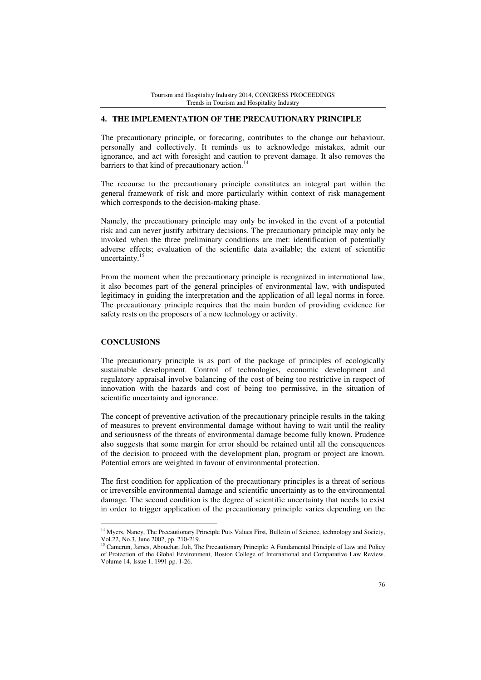#### **4. THE IMPLEMENTATION OF THE PRECAUTIONARY PRINCIPLE**

The precautionary principle, or forecaring, contributes to the change our behaviour, personally and collectively. It reminds us to acknowledge mistakes, admit our ignorance, and act with foresight and caution to prevent damage. It also removes the barriers to that kind of precautionary action. $14$ 

The recourse to the precautionary principle constitutes an integral part within the general framework of risk and more particularly within context of risk management which corresponds to the decision-making phase.

Namely, the precautionary principle may only be invoked in the event of a potential risk and can never justify arbitrary decisions. The precautionary principle may only be invoked when the three preliminary conditions are met: identification of potentially adverse effects; evaluation of the scientific data available; the extent of scientific uncertainty.<sup>15</sup>

From the moment when the precautionary principle is recognized in international law, it also becomes part of the general principles of environmental law, with undisputed legitimacy in guiding the interpretation and the application of all legal norms in force. The precautionary principle requires that the main burden of providing evidence for safety rests on the proposers of a new technology or activity.

### **CONCLUSIONS**

 $\overline{a}$ 

The precautionary principle is as part of the package of principles of ecologically sustainable development. Control of technologies, economic development and regulatory appraisal involve balancing of the cost of being too restrictive in respect of innovation with the hazards and cost of being too permissive, in the situation of scientific uncertainty and ignorance.

The concept of preventive activation of the precautionary principle results in the taking of measures to prevent environmental damage without having to wait until the reality and seriousness of the threats of environmental damage become fully known. Prudence also suggests that some margin for error should be retained until all the consequences of the decision to proceed with the development plan, program or project are known. Potential errors are weighted in favour of environmental protection.

The first condition for application of the precautionary principles is a threat of serious or irreversible environmental damage and scientific uncertainty as to the environmental damage. The second condition is the degree of scientific uncertainty that needs to exist in order to trigger application of the precautionary principle varies depending on the

<sup>&</sup>lt;sup>14</sup> Myers, Nancy, The Precautionary Principle Puts Values First, Bulletin of Science, technology and Society, Vol.22, No.3, June 2002, pp. 210-219.

<sup>&</sup>lt;sup>15</sup> Camerun, James, Abouchar, Juli, The Precautionary Principle: A Fundamental Principle of Law and Policy of Protection of the Global Environment, Boston College of International and Comparative Law Review, Volume 14, Issue 1, 1991 pp. 1-26.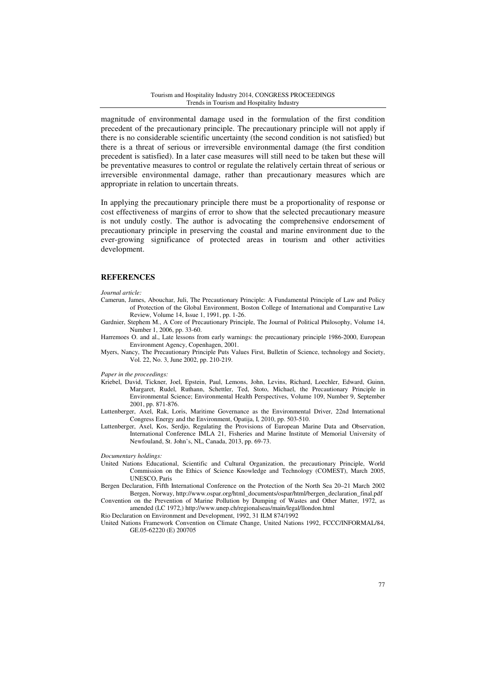magnitude of environmental damage used in the formulation of the first condition precedent of the precautionary principle. The precautionary principle will not apply if there is no considerable scientific uncertainty (the second condition is not satisfied) but there is a threat of serious or irreversible environmental damage (the first condition precedent is satisfied). In a later case measures will still need to be taken but these will be preventative measures to control or regulate the relatively certain threat of serious or irreversible environmental damage, rather than precautionary measures which are appropriate in relation to uncertain threats.

In applying the precautionary principle there must be a proportionality of response or cost effectiveness of margins of error to show that the selected precautionary measure is not unduly costly. The author is advocating the comprehensive endorsement of precautionary principle in preserving the coastal and marine environment due to the ever-growing significance of protected areas in tourism and other activities development.

#### **REFERENCES**

#### *Journal article:*

- Camerun, James, Abouchar, Juli, The Precautionary Principle: A Fundamental Principle of Law and Policy of Protection of the Global Environment, Boston College of International and Comparative Law Review, Volume 14, Issue 1, 1991, pp. 1-26.
- Gardnier, Stephem M., A Core of Precautionary Principle, The Journal of Political Philosophy, Volume 14, Number 1, 2006, pp. 33-60.
- Harremoes O. and al., Late lessons from early warnings: the precautionary principle 1986-2000, European Environment Agency, Copenhagen, 2001.
- Myers, Nancy, The Precautionary Principle Puts Values First, Bulletin of Science, technology and Society, Vol. 22, No. 3, June 2002, pp. 210-219.

*Paper in the proceedings:* 

- Kriebel, David, Tickner, Joel, Epstein, Paul, Lemons, John, Levins, Richard, Loechler, Edward, Guinn, Margaret, Rudel, Ruthann, Schettler, Ted, Stoto, Michael, the Precautionary Principle in Environmental Science; Environmental Health Perspectives, Volume 109, Number 9, September 2001, pp. 871-876.
- Luttenberger, Axel, Rak, Loris, Maritime Governance as the Environmental Driver, 22nd International Congress Energy and the Environment, Opatija, I, 2010, pp. 503-510.
- Luttenberger, Axel, Kos, Serdjo, Regulating the Provisions of European Marine Data and Observation, International Conference IMLA 21, Fisheries and Marine Institute of Memorial University of Newfouland, St. John's, NL, Canada, 2013, pp. 69-73.

*Documentary holdings:* 

- United Nations Educational, Scientific and Cultural Organization, the precautionary Principle, World Commission on the Ethics of Science Knowledge and Technology (COMEST), March 2005, UNESCO, Paris
- Bergen Declaration, Fifth International Conference on the Protection of the North Sea 20–21 March 2002 Bergen, Norway, http://www.ospar.org/html\_documents/ospar/html/bergen\_declaration\_final.pdf
- Convention on the Prevention of Marine Pollution by Dumping of Wastes and Other Matter, 1972, as amended (LC 1972,) http://www.unep.ch/regionalseas/main/legal/llondon.html

Rio Declaration on Environment and Development, 1992, 31 ILM 874/1992

United Nations Framework Convention on Climate Change, United Nations 1992, FCCC/INFORMAL/84, GE.05-62220 (E) 200705